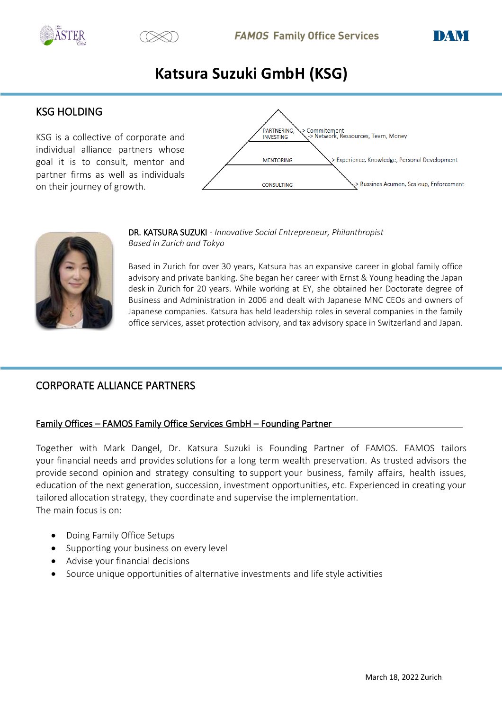





# **Katsura Suzuki GmbH (KSG)**

# KSG HOLDING

KSG is a collective of corporate and individual alliance partners whose goal it is to consult, mentor and partner firms as well as individuals on their journey of growth.





DR. KATSURA SUZUKI - *Innovative Social Entrepreneur, Philanthropist Based in Zurich and Tokyo*

Based in Zurich for over 30 years, Katsura has an expansive career in global family office advisory and private banking. She began her career with Ernst & Young heading the Japan desk in Zurich for 20 years. While working at EY, she obtained her Doctorate degree of Business and Administration in 2006 and dealt with Japanese MNC CEOs and owners of Japanese companies. Katsura has held leadership roles in several companies in the family office services, asset protection advisory, and tax advisory space in Switzerland and Japan.

# CORPORATE ALLIANCE PARTNERS

# Family Offices – FAMOS Family Office Services GmbH – Founding Partner

Together with Mark Dangel, Dr. Katsura Suzuki is Founding Partner of FAMOS. FAMOS tailors your financial needs and provides solutions for a long term wealth preservation. As trusted advisors the provide second opinion and strategy consulting to support your business, family affairs, health issues, education of the next generation, succession, investment opportunities, etc. Experienced in creating your tailored allocation strategy, they coordinate and supervise the implementation. The main focus is on:

- Doing Family Office Setups
- Supporting your business on every level
- Advise your financial decisions
- Source unique opportunities of alternative investments and life style activities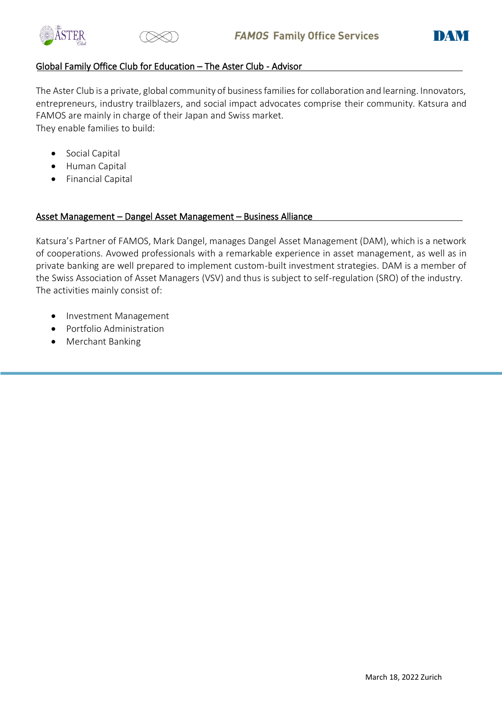





# Global Family Office Club for Education – The Aster Club - Advisor

The Aster Club is a private, global community of business families for collaboration and learning. Innovators, entrepreneurs, industry trailblazers, and social impact advocates comprise their community. Katsura and FAMOS are mainly in charge of their Japan and Swiss market. They enable families to build:

- Social Capital
- Human Capital
- Financial Capital

## Asset Management – Dangel Asset Management – Business Alliance

Katsura's Partner of FAMOS, Mark Dangel, manages Dangel Asset Management (DAM), which is a network of cooperations. Avowed professionals with a remarkable experience in asset management, as well as in private banking are well prepared to implement custom-built investment strategies. DAM is a member of the Swiss Association of Asset Managers (VSV) and thus is subject to self-regulation (SRO) of the industry. The activities mainly consist of:

- Investment Management
- Portfolio Administration
- Merchant Banking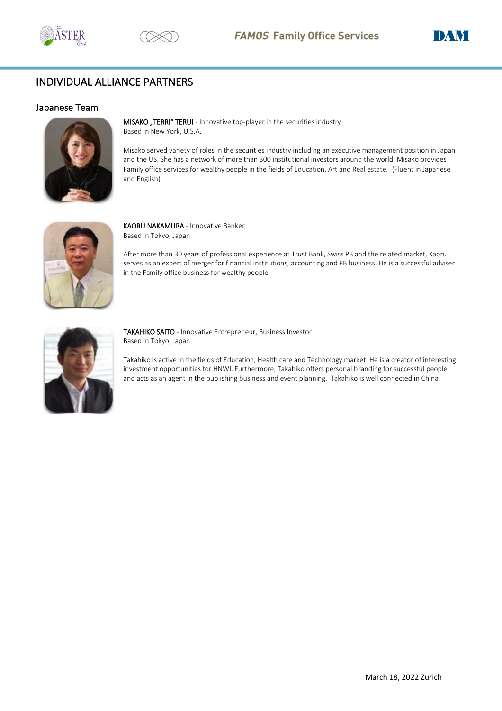





# INDIVIDUAL ALLIANCE PARTNERS

#### Japanese Team



MISAKO "TERRI" TERUI - Innovative top-player in the securities industry Based in New York, U.S.A.

Misako served variety of roles in the securities industry including an executive management position in Japan and the US. She has a network of more than 300 institutional investors around the world. Misako provides Family office services for wealthy people in the fields of Education, Art and Real estate. (Fluent in Japanese and English)



KAORU NAKAMURA - Innovative Banker Based in Tokyo, Japan

After more than 30 years of professional experience at Trust Bank, Swiss PB and the related market, Kaoru serves as an expert of merger for financial institutions, accounting and PB business. He is a successful adviser in the Family office business for wealthy people.



TAKAHIKO SAITO - Innovative Entrepreneur, Business Investor Based in Tokyo, Japan

Takahiko is active in the fields of Education, Health care and Technology market. He is a creator of interesting investment opportunities for HNWI. Furthermore, Takahiko offers personal branding for successful people and acts as an agent in the publishing business and event planning. Takahiko is well connected in China.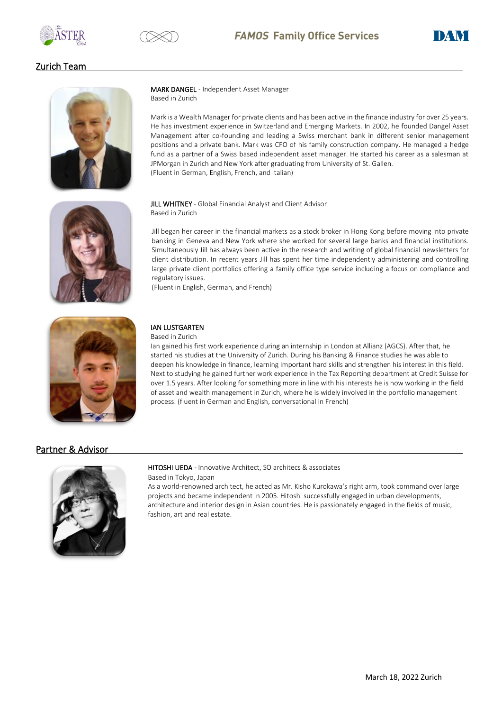





## Zurich Team



MARK DANGEL - Independent Asset Manager Based in Zurich

Mark is a Wealth Manager for private clients and has been active in the finance industry for over 25 years. He has investment experience in Switzerland and Emerging Markets. In 2002, he founded Dangel Asset Management after co-founding and leading a Swiss merchant bank in different senior management positions and a private bank. Mark was CFO of his family construction company. He managed a hedge fund as a partner of a Swiss based independent asset manager. He started his career as a salesman at JPMorgan in Zurich and New York after graduating from University of St. Gallen. (Fluent in German, English, French, and Italian)



**JILL WHITNEY** - Global Financial Analyst and Client Advisor Based in Zurich

Jill began her career in the financial markets as a stock broker in Hong Kong before moving into private banking in Geneva and New York where she worked for several large banks and financial institutions. Simultaneously Jill has always been active in the research and writing of global financial newsletters for client distribution. In recent years Jill has spent her time independently administering and controlling large private client portfolios offering a family office type service including a focus on compliance and regulatory issues.

(Fluent in English, German, and French)



## IAN LUSTGARTEN

Based in Zurich

Ian gained his first work experience during an internship in London at Allianz (AGCS). After that, he started his studies at the University of Zurich. During his Banking & Finance studies he was able to deepen his knowledge in finance, learning important hard skills and strengthen his interest in this field. Next to studying he gained further work experience in the Tax Reporting department at Credit Suisse for over 1.5 years. After looking for something more in line with his interests he is now working in the field of asset and wealth management in Zurich, where he is widely involved in the portfolio management process. (fluent in German and English, conversational in French)

## Partner & Advisor



#### HITOSHI UEDA - Innovative Architect, SO architecs & associates

Based in Tokyo, Japan

As a world-renowned architect, he acted as Mr. Kisho Kurokawa's right arm, took command over large projects and became independent in 2005. Hitoshi successfully engaged in urban developments, architecture and interior design in Asian countries. He is passionately engaged in the fields of music, fashion, art and real estate.